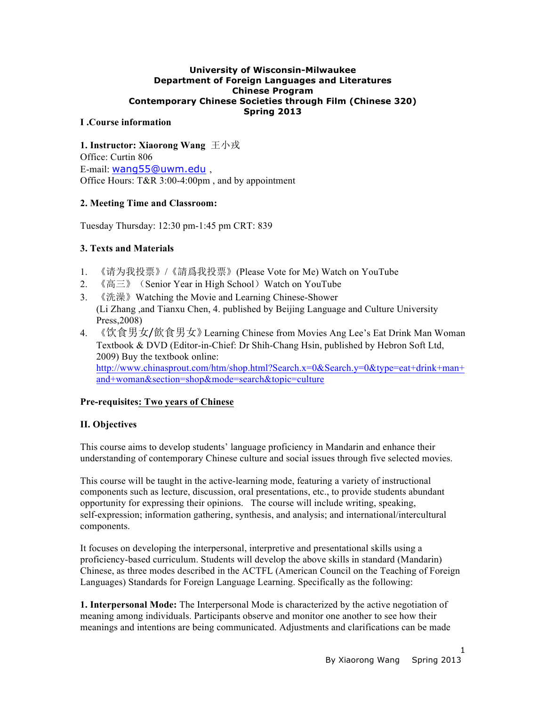#### **University of Wisconsin-Milwaukee Department of Foreign Languages and Literatures Chinese Program Contemporary Chinese Societies through Film (Chinese 320) Spring 2013**

# **I .Course information**

**1. Instructor: Xiaorong Wang** 王小戎 Office: Curtin 806 E-mail: wang55@uwm.edu , Office Hours: T&R 3:00-4:00pm , and by appointment

## **2. Meeting Time and Classroom:**

Tuesday Thursday: 12:30 pm-1:45 pm CRT: 839

# **3. Texts and Materials**

- 1. 《请为我投票》/《請爲我投票》(Please Vote for Me) Watch on YouTube
- 2. 《高三》 (Senior Year in High School) Watch on YouTube
- 3. 《洗澡》Watching the Movie and Learning Chinese-Shower (Li Zhang ,and Tianxu Chen, 4. published by Beijing Language and Culture University Press,2008)
- 4. 《饮食男女/飲食男女》Learning Chinese from Movies Ang Lee's Eat Drink Man Woman Textbook & DVD (Editor-in-Chief: Dr Shih-Chang Hsin, published by Hebron Soft Ltd, 2009) Buy the textbook online: http://www.chinasprout.com/htm/shop.html?Search.x=0&Search.y=0&type=eat+drink+man+ and+woman&section=shop&mode=search&topic=culture

## **Pre-requisites: Two years of Chinese**

## **II. Objectives**

This course aims to develop students' language proficiency in Mandarin and enhance their understanding of contemporary Chinese culture and social issues through five selected movies.

This course will be taught in the active-learning mode, featuring a variety of instructional components such as lecture, discussion, oral presentations, etc., to provide students abundant opportunity for expressing their opinions. The course will include writing, speaking, self-expression; information gathering, synthesis, and analysis; and international/intercultural components.

It focuses on developing the interpersonal, interpretive and presentational skills using a proficiency-based curriculum. Students will develop the above skills in standard (Mandarin) Chinese, as three modes described in the ACTFL (American Council on the Teaching of Foreign Languages) Standards for Foreign Language Learning. Specifically as the following:

**1. Interpersonal Mode:** The Interpersonal Mode is characterized by the active negotiation of meaning among individuals. Participants observe and monitor one another to see how their meanings and intentions are being communicated. Adjustments and clarifications can be made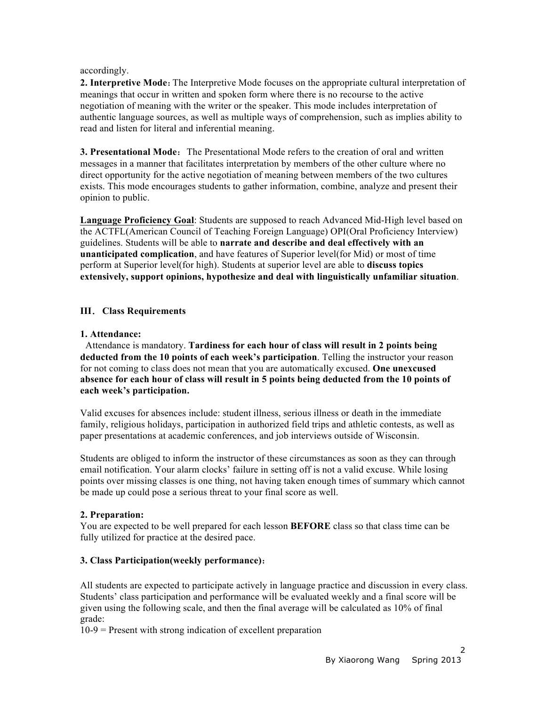#### accordingly.

**2. Interpretive Mode:** The Interpretive Mode focuses on the appropriate cultural interpretation of meanings that occur in written and spoken form where there is no recourse to the active negotiation of meaning with the writer or the speaker. This mode includes interpretation of authentic language sources, as well as multiple ways of comprehension, such as implies ability to read and listen for literal and inferential meaning.

**3. Presentational Mode:** The Presentational Mode refers to the creation of oral and written messages in a manner that facilitates interpretation by members of the other culture where no direct opportunity for the active negotiation of meaning between members of the two cultures exists. This mode encourages students to gather information, combine, analyze and present their opinion to public.

**Language Proficiency Goal**: Students are supposed to reach Advanced Mid-High level based on the ACTFL(American Council of Teaching Foreign Language) OPI(Oral Proficiency Interview) guidelines. Students will be able to **narrate and describe and deal effectively with an unanticipated complication**, and have features of Superior level(for Mid) or most of time perform at Superior level(for high). Students at superior level are able to **discuss topics extensively, support opinions, hypothesize and deal with linguistically unfamiliar situation**.

# **III**.**Class Requirements**

## **1. Attendance:**

Attendance is mandatory. **Tardiness for each hour of class will result in 2 points being deducted from the 10 points of each week's participation**. Telling the instructor your reason for not coming to class does not mean that you are automatically excused. **One unexcused absence for each hour of class will result in 5 points being deducted from the 10 points of each week's participation.** 

Valid excuses for absences include: student illness, serious illness or death in the immediate family, religious holidays, participation in authorized field trips and athletic contests, as well as paper presentations at academic conferences, and job interviews outside of Wisconsin.

Students are obliged to inform the instructor of these circumstances as soon as they can through email notification. Your alarm clocks' failure in setting off is not a valid excuse. While losing points over missing classes is one thing, not having taken enough times of summary which cannot be made up could pose a serious threat to your final score as well.

## **2. Preparation:**

You are expected to be well prepared for each lesson **BEFORE** class so that class time can be fully utilized for practice at the desired pace.

## **3. Class Participation(weekly performance)**:

All students are expected to participate actively in language practice and discussion in every class. Students' class participation and performance will be evaluated weekly and a final score will be given using the following scale, and then the final average will be calculated as 10% of final grade:

10-9 = Present with strong indication of excellent preparation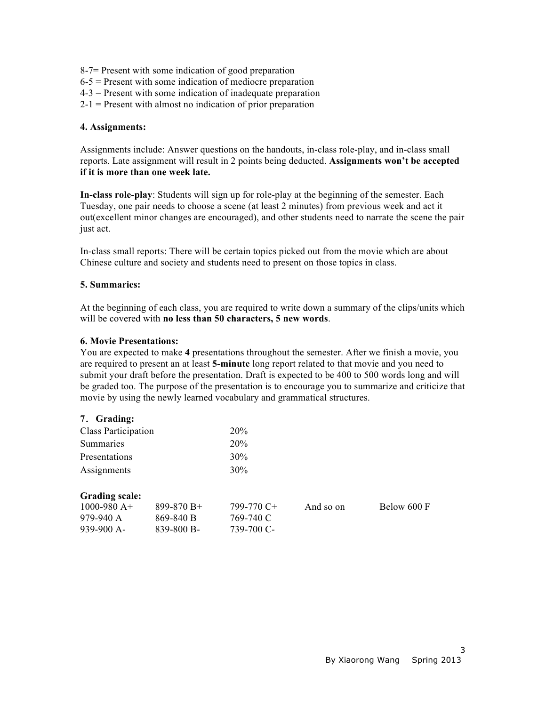- 8-7= Present with some indication of good preparation
- $6-5$  = Present with some indication of mediocre preparation
- 4-3 = Present with some indication of inadequate preparation
- $2-1$  = Present with almost no indication of prior preparation

#### **4. Assignments:**

Assignments include: Answer questions on the handouts, in-class role-play, and in-class small reports. Late assignment will result in 2 points being deducted. **Assignments won't be accepted if it is more than one week late.**

**In-class role-play**: Students will sign up for role-play at the beginning of the semester. Each Tuesday, one pair needs to choose a scene (at least 2 minutes) from previous week and act it out(excellent minor changes are encouraged), and other students need to narrate the scene the pair just act.

In-class small reports: There will be certain topics picked out from the movie which are about Chinese culture and society and students need to present on those topics in class.

#### **5. Summaries:**

At the beginning of each class, you are required to write down a summary of the clips/units which will be covered with **no less than 50 characters, 5 new words**.

#### **6. Movie Presentations:**

You are expected to make **4** presentations throughout the semester. After we finish a movie, you are required to present an at least **5-minute** long report related to that movie and you need to submit your draft before the presentation. Draft is expected to be 400 to 500 words long and will be graded too. The purpose of the presentation is to encourage you to summarize and criticize that movie by using the newly learned vocabulary and grammatical structures.

#### **7**.**Grading:**

| <b>Class Participation</b> | 20%    |
|----------------------------|--------|
| Summaries                  | 20%    |
| Presentations              | 30%    |
| Assignments                | $30\%$ |

#### **Grading scale:**

| $1000 - 980$ A+ | $899 - 870 B +$ | 799-770 C+ |
|-----------------|-----------------|------------|
| 979-940 A       | 869-840 B       | 769-740 C  |
| $939-900 A$     | 839-800 B-      | 739-700 C- |

And so on Below 600 F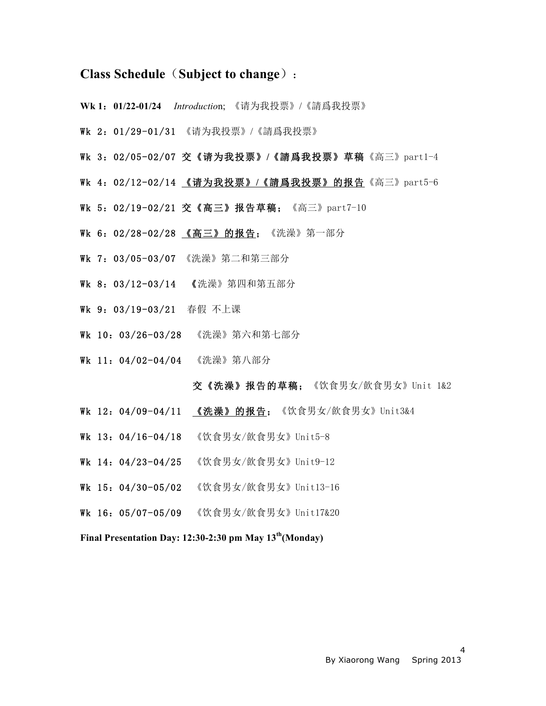# **Class Schedule**(**Subject to change**)**:**

- **Wk 1**:**01/22-01/24** *Introductio*n; 《请为我投票》/《請爲我投票》
- Wk 2:01/29-01/31 《请为我投票》/《請爲我投票》
- Wk 3:02/05-02/07 交《请为我投票》**/**《請爲我投票》草稿《高三》part1-4
- Wk 4:02/12-02/14 《请为我投票》**/**《請爲我投票》的报告《高三》part5-6
- Wk 5:02/19-02/21 交《高三》报告草稿;《高三》part7-10
- Wk 6: 02/28-02/28 《高三》的报告; 《洗澡》第一部分
- Wk 7:03/05-03/07 《洗澡》第二和第三部分
- Wk 8:03/12-03/14 《洗澡》第四和第五部分
- Wk 9:03/19-03/21 春假 不上课
- Wk 10:03/26-03/28 《洗澡》第六和第七部分
- Wk 11: 04/02-04/04 《洗澡》第八部分

#### 交《洗澡》报告的草稿;《饮食男女/飲食男女》Unit 1&2

- Wk 12: 04/09-04/11 《洗澡》的报告; 《饮食男女/飲食男女》Unit3&4
- Wk 13:04/16-04/18 《饮食男女/飲食男女》Unit5-8
- **Wk 14: 04/23-04/25** 《饮食男女/飲食男女》Unit9-12
- Wk 15: 04/30-05/02 《饮食男女/飲食男女》Unit13-16
- Wk 16:05/07-05/09 《饮食男女/飲食男女》Unit17&20

**Final Presentation Day: 12:30-2:30 pm May 13th(Monday)**